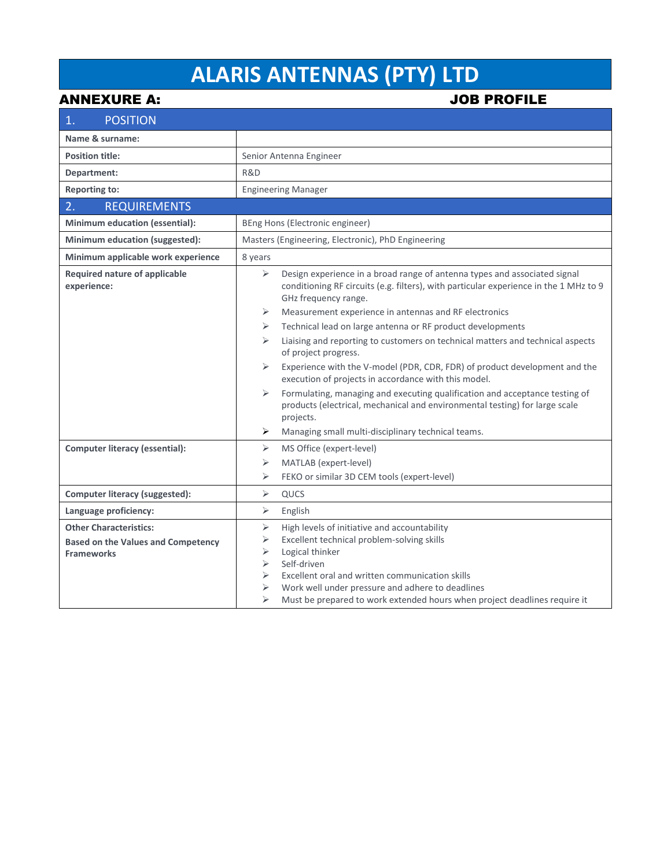## **ALARIS ANTENNAS (PTY) LTD**

ANNEXURE A: JOB PROFILE

| <b>POSITION</b><br>1.                                                                           |                                                                                                                                                                                                                                                                                                                                                                                                                 |
|-------------------------------------------------------------------------------------------------|-----------------------------------------------------------------------------------------------------------------------------------------------------------------------------------------------------------------------------------------------------------------------------------------------------------------------------------------------------------------------------------------------------------------|
| Name & surname:                                                                                 |                                                                                                                                                                                                                                                                                                                                                                                                                 |
| <b>Position title:</b>                                                                          | Senior Antenna Engineer                                                                                                                                                                                                                                                                                                                                                                                         |
| Department:                                                                                     | R&D                                                                                                                                                                                                                                                                                                                                                                                                             |
| <b>Reporting to:</b>                                                                            | <b>Engineering Manager</b>                                                                                                                                                                                                                                                                                                                                                                                      |
| 2.<br><b>REQUIREMENTS</b>                                                                       |                                                                                                                                                                                                                                                                                                                                                                                                                 |
| Minimum education (essential):                                                                  | BEng Hons (Electronic engineer)                                                                                                                                                                                                                                                                                                                                                                                 |
| Minimum education (suggested):                                                                  | Masters (Engineering, Electronic), PhD Engineering                                                                                                                                                                                                                                                                                                                                                              |
| Minimum applicable work experience                                                              | 8 years                                                                                                                                                                                                                                                                                                                                                                                                         |
| <b>Required nature of applicable</b><br>experience:                                             | $\blacktriangleright$<br>Design experience in a broad range of antenna types and associated signal<br>conditioning RF circuits (e.g. filters), with particular experience in the 1 MHz to 9<br>GHz frequency range.                                                                                                                                                                                             |
|                                                                                                 | Measurement experience in antennas and RF electronics<br>➤                                                                                                                                                                                                                                                                                                                                                      |
|                                                                                                 | Technical lead on large antenna or RF product developments<br>➤                                                                                                                                                                                                                                                                                                                                                 |
|                                                                                                 | ⋗<br>Liaising and reporting to customers on technical matters and technical aspects<br>of project progress.                                                                                                                                                                                                                                                                                                     |
|                                                                                                 | ➤<br>Experience with the V-model (PDR, CDR, FDR) of product development and the<br>execution of projects in accordance with this model.                                                                                                                                                                                                                                                                         |
|                                                                                                 | Formulating, managing and executing qualification and acceptance testing of<br>➤<br>products (electrical, mechanical and environmental testing) for large scale<br>projects.                                                                                                                                                                                                                                    |
|                                                                                                 | Managing small multi-disciplinary technical teams.<br>➤                                                                                                                                                                                                                                                                                                                                                         |
| <b>Computer literacy (essential):</b>                                                           | ⋗<br>MS Office (expert-level)                                                                                                                                                                                                                                                                                                                                                                                   |
|                                                                                                 | MATLAB (expert-level)<br>⋗                                                                                                                                                                                                                                                                                                                                                                                      |
|                                                                                                 | $\blacktriangleright$<br>FEKO or similar 3D CEM tools (expert-level)                                                                                                                                                                                                                                                                                                                                            |
| <b>Computer literacy (suggested):</b>                                                           | $\blacktriangleright$<br>QUCS                                                                                                                                                                                                                                                                                                                                                                                   |
| Language proficiency:                                                                           | $\blacktriangleright$<br>English                                                                                                                                                                                                                                                                                                                                                                                |
| <b>Other Characteristics:</b><br><b>Based on the Values and Competency</b><br><b>Frameworks</b> | $\blacktriangleright$<br>High levels of initiative and accountability<br>➤<br>Excellent technical problem-solving skills<br>Logical thinker<br>➤<br>$\blacktriangleright$<br>Self-driven<br>$\blacktriangleright$<br>Excellent oral and written communication skills<br>⋗<br>Work well under pressure and adhere to deadlines<br>⋗<br>Must be prepared to work extended hours when project deadlines require it |